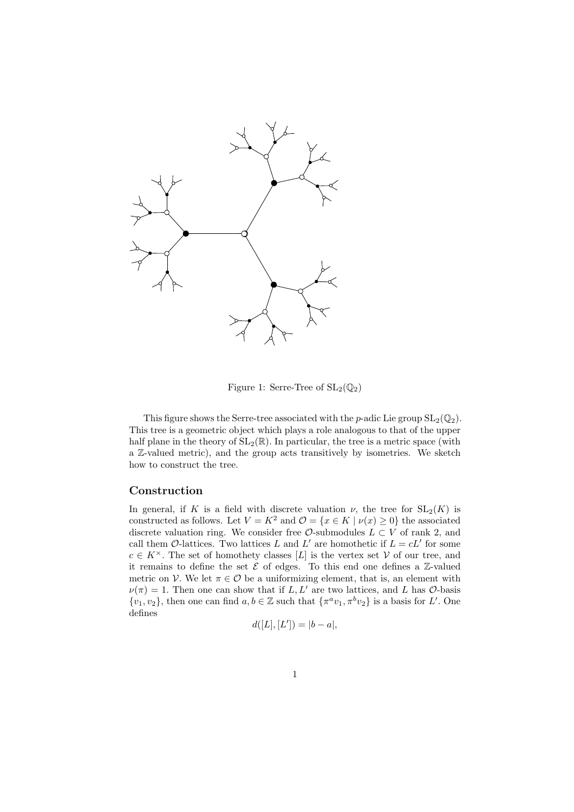

Figure 1: Serre-Tree of  $SL_2(\mathbb{Q}_2)$ 

This figure shows the Serre-tree associated with the p-adic Lie group  $SL_2(\mathbb{Q}_2)$ . This tree is a geometric object which plays a role analogous to that of the upper half plane in the theory of  $SL_2(\mathbb{R})$ . In particular, the tree is a metric space (with a Z-valued metric), and the group acts transitively by isometries. We sketch how to construct the tree.

## Construction

In general, if K is a field with discrete valuation  $\nu$ , the tree for  $SL_2(K)$  is constructed as follows. Let  $V = K^2$  and  $\mathcal{O} = \{x \in K \mid \nu(x) \geq 0\}$  the associated discrete valuation ring. We consider free  $\mathcal{O}$ -submodules  $L \subset V$  of rank 2, and call them  $\mathcal{O}\text{-lattices}$ . Two lattices L and L' are homothetic if  $L = cL'$  for some  $c \in K^{\times}$ . The set of homothety classes  $[L]$  is the vertex set V of our tree, and it remains to define the set  $\mathcal E$  of edges. To this end one defines a  $\mathbb Z$ -valued metric on V. We let  $\pi \in \mathcal{O}$  be a uniformizing element, that is, an element with  $\nu(\pi) = 1$ . Then one can show that if L, L' are two lattices, and L has O-basis  $\{v_1, v_2\}$ , then one can find  $a, b \in \mathbb{Z}$  such that  $\{\pi^a v_1, \pi^b v_2\}$  is a basis for L'. One defines

$$
d([L],[L']) = |b-a|,
$$